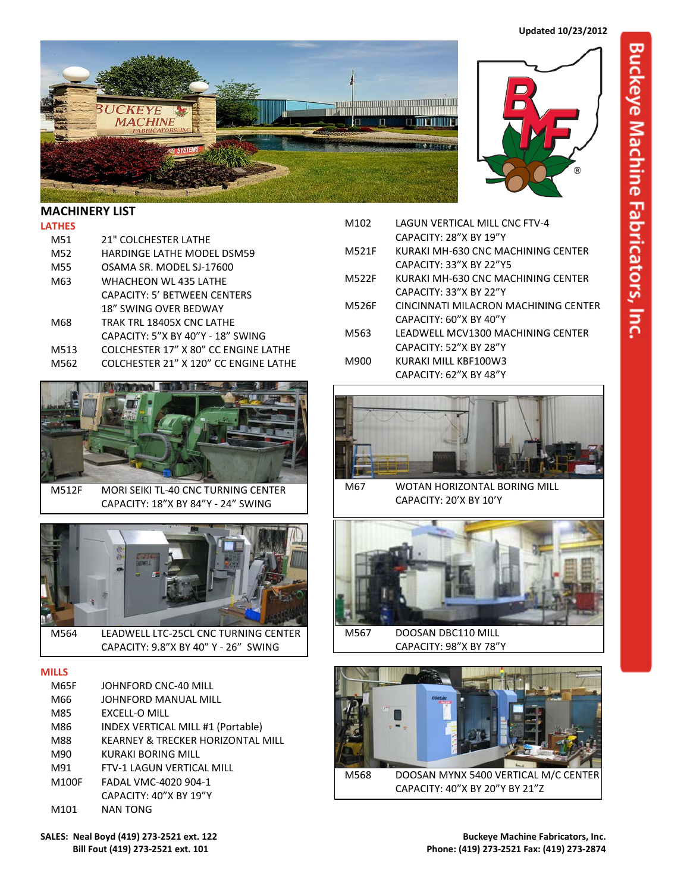



## **LATHES**

| M51  | <b>21" COLCHESTER LATHE</b>           |  |  |
|------|---------------------------------------|--|--|
| M52  | HARDINGE LATHE MODEL DSM59            |  |  |
| M55  | OSAMA SR. MODEL SJ-17600              |  |  |
| M63  | WHACHEON WL 435 LATHE                 |  |  |
|      | CAPACITY: 5' BETWEEN CENTERS          |  |  |
|      | <b>18" SWING OVER BEDWAY</b>          |  |  |
| M68  | TRAK TRL 18405X CNC LATHE             |  |  |
|      | CAPACITY: 5"X BY 40"Y - 18" SWING     |  |  |
| M513 | COLCHESTER 17" X 80" CC ENGINE LATHE  |  |  |
| M562 | COLCHESTER 21" X 120" CC ENGINE LATHE |  |  |



M512F MORI SEIKI TL-40 CNC TURNING CENTER CAPACITY: 18"X BY 84"Y - 24" SWING



M564 LEADWELL LTC-25CL CNC TURNING CENTER CAPACITY: 9.8"X BY 40" Y - 26" SWING

## **MILLS**

| M65F  | JOHNFORD CNC-40 MILL              |
|-------|-----------------------------------|
| M66   | JOHNFORD MANUAL MILL              |
| M85   | EXCELL-O MILL                     |
| M86   | INDEX VERTICAL MILL #1 (Portable) |
| M88   | KEARNEY & TRECKER HORIZONTAL MILL |
| M90   | KURAKI BORING MILL                |
| M91   | FTV-1 LAGUN VERTICAL MILL         |
| M100F | FADAL VMC-4020 904-1              |
|       | CAPACITY: 40"X BY 19"Y            |
| M101  | <b>NAN TONG</b>                   |
|       |                                   |



- M102 LAGUN VERTICAL MILL CNC FTV-4 CAPACITY: 28"X BY 19"Y M521F KURAKI MH-630 CNC MACHINING CENTER CAPACITY: 33"X BY 22"Y5
- M522F KURAKI MH-630 CNC MACHINING CENTER CAPACITY: 33"X BY 22"Y
- M526F CINCINNATI MILACRON MACHINING CENTER CAPACITY: 60"X BY 40"Y
- M563 LEADWELL MCV1300 MACHINING CENTER CAPACITY: 52"X BY 28"Y
- M900 KURAKI MILL KBF100W3 CAPACITY: 62"X BY 48"Y



M67 WOTAN HORIZONTAL BORING MILL CAPACITY: 20'X BY 10'Y



M567 DOOSAN DBC110 MILL CAPACITY: 98"X BY 78"Y



M568 DOOSAN MYNX 5400 VERTICAL M/C CENTER CAPACITY: 40"X BY 20"Y BY 21"Z